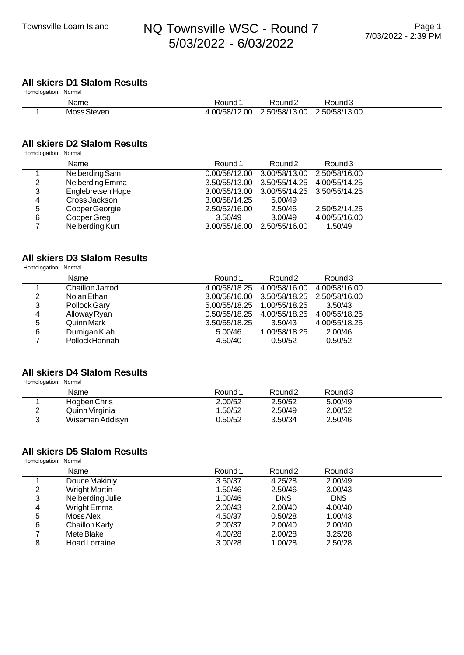## Townsville Loam Island MQ Townsville WSC - Round 7 5/03/2022 - 6/03/2022

## **All skiers D1 Slalom Results**

| Homologation: Normal |             |              |                             |                    |  |
|----------------------|-------------|--------------|-----------------------------|--------------------|--|
|                      | Name        | Round 1      | Round <sub>2</sub>          | Round <sub>3</sub> |  |
|                      | Moss Steven | 00/58/12.00. | 2.50/58/13.00 2.50/58/13.00 |                    |  |

### **All skiers D2 Slalom Results**

Homologation: Normal

|   | Name              | Round 1       | Round <sub>2</sub>                        | Round <sub>3</sub> |  |
|---|-------------------|---------------|-------------------------------------------|--------------------|--|
|   | Neiberding Sam    |               | 0.00/58/12.00 3.00/58/13.00               | 2.50/58/16.00      |  |
| 2 | Neiberding Emma   |               | 3.50/55/13.00 3.50/55/14.25 4.00/55/14.25 |                    |  |
| 3 | Englebretsen Hope |               | 3.00/55/13.00 3.00/55/14.25 3.50/55/14.25 |                    |  |
| 4 | Cross Jackson     | 3.00/58/14.25 | 5.00/49                                   |                    |  |
| 5 | Cooper Georgie    | 2.50/52/16.00 | 2.50/46                                   | 2.50/52/14.25      |  |
| 6 | Cooper Greg       | 3.50/49       | 3.00/49                                   | 4.00/55/16.00      |  |
|   | Neiberding Kurt   |               | 3.00/55/16.00 2.50/55/16.00               | 1.50/49            |  |

#### **All skiers D3 Slalom Results**

Homologation: Normal

|   | Name            | Round 1       | Round <sub>2</sub>                        | Round <sub>3</sub> |  |
|---|-----------------|---------------|-------------------------------------------|--------------------|--|
|   | Chaillon Jarrod |               | 4.00/58/18.25 4.00/58/16.00               | 4.00/58/16.00      |  |
| 2 | Nolan Ethan     |               | 3.00/58/16.00 3.50/58/18.25 2.50/58/16.00 |                    |  |
| 3 | Pollock Gary    |               | 5.00/55/18.25  1.00/55/18.25              | 3.50/43            |  |
| 4 | Alloway Ryan    |               | 0.50/55/18.25 4.00/55/18.25               | 4.00/55/18.25      |  |
| 5 | Quinn Mark      | 3.50/55/18.25 | 3.50/43                                   | 4.00/55/18.25      |  |
| 6 | Dumigan Kiah    | 5.00/46       | 1.00/58/18.25                             | 2.00/46            |  |
|   | Pollock Hannah  | 4.50/40       | 0.50/52                                   | 0.50/52            |  |

#### **All skiers D4 Slalom Results**

Homologation: Normal

| Name            | Round 1 | Round <sub>2</sub> | Round 3 |  |
|-----------------|---------|--------------------|---------|--|
| Hogben Chris    | 2.00/52 | 2.50/52            | 5.00/49 |  |
| Quinn Virginia  | 1.50/52 | 2.50/49            | 2.00/52 |  |
| Wiseman Addisyn | 0.50/52 | 3.50/34            | 2.50/46 |  |

#### **All skiers D5 Slalom Results**

 Homologation: Normal Name **Name Round 1** Round 1 Round 2 Round 3 1 Douce Makinly 3.50/37 4.25/28 2.00/49<br>2 Wright Martin 1.50/46 2.50/46 3.00/43 2 Wright Martin 1.50/46 2.50/46 3.00/43 3 Neiberding Julie 1.00/46 DNS DNS<br>4 Wright Emma 2.00/43 2.00/40 4.00/40 4 Wright Emma 2.00/43 2.00/40 4.00/40<br>5 Moss Alex 4.50/37 0.50/28 1.00/43 5 Moss Alex 1.00/43<br>6 Chaillon Karly 1990 12:00/37 1.00/40 2.00/40 6 Chaillon Karly 2.00/37 2.00/40 2.00/40 7 Mete Blake 4.00/28 2.00/28 3.25/28 8 Hoad Lorraine 3.00/28 1.00/28 2.50/28